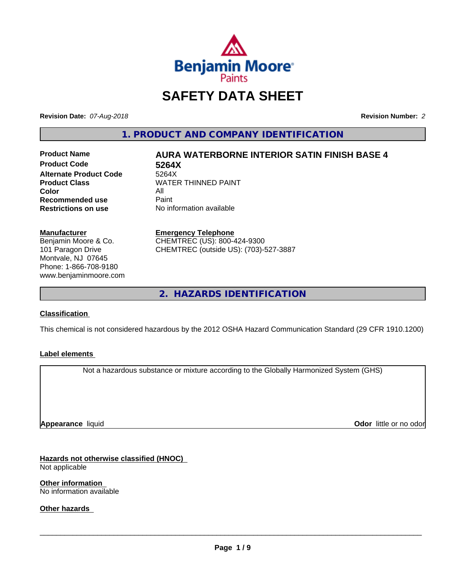

# **SAFETY DATA SHEET**

**Revision Date:** *07-Aug-2018* **Revision Number:** *2*

**1. PRODUCT AND COMPANY IDENTIFICATION**

**Product Code 5264X Alternate Product Code**<br>Product Class **Color** All All<br>**Recommended use** Paint **Recommended use**<br>Restrictions on use

# **Product Name AURA WATERBORNE INTERIOR SATIN FINISH BASE 4**

**WATER THINNED PAINT No information available** 

**Manufacturer** Benjamin Moore & Co. 101 Paragon Drive Montvale, NJ 07645 Phone: 1-866-708-9180

www.benjaminmoore.com

#### **Emergency Telephone**

CHEMTREC (US): 800-424-9300 CHEMTREC (outside US): (703)-527-3887

**2. HAZARDS IDENTIFICATION**

#### **Classification**

This chemical is not considered hazardous by the 2012 OSHA Hazard Communication Standard (29 CFR 1910.1200)

#### **Label elements**

Not a hazardous substance or mixture according to the Globally Harmonized System (GHS)

**Appearance** liquid

**Odor** little or no odor

**Hazards not otherwise classified (HNOC)** Not applicable

**Other information** No information available

**Other hazards**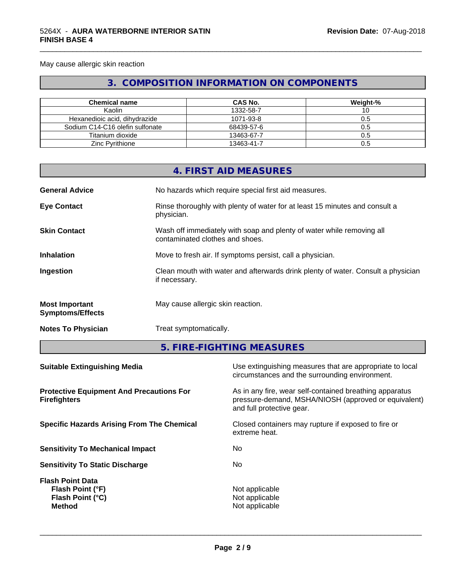May cause allergic skin reaction

# **3. COMPOSITION INFORMATION ON COMPONENTS**

\_\_\_\_\_\_\_\_\_\_\_\_\_\_\_\_\_\_\_\_\_\_\_\_\_\_\_\_\_\_\_\_\_\_\_\_\_\_\_\_\_\_\_\_\_\_\_\_\_\_\_\_\_\_\_\_\_\_\_\_\_\_\_\_\_\_\_\_\_\_\_\_\_\_\_\_\_\_\_\_\_\_\_\_\_\_\_\_\_\_\_\_\_

| <b>Chemical name</b>            | CAS No.    | Weight-% |
|---------------------------------|------------|----------|
| Kaolin                          | 1332-58-7  | ιv       |
| Hexanedioic acid, dihydrazide   | 1071-93-8  | 0.5      |
| Sodium C14-C16 olefin sulfonate | 68439-57-6 | 0.5      |
| Titanium dioxide                | 13463-67-7 | 0.5      |
| <b>Zinc Pyrithione</b>          | 13463-41-7 | 0.5      |

|                                                  | 4. FIRST AID MEASURES                                                                                    |
|--------------------------------------------------|----------------------------------------------------------------------------------------------------------|
| <b>General Advice</b>                            | No hazards which require special first aid measures.                                                     |
| <b>Eye Contact</b>                               | Rinse thoroughly with plenty of water for at least 15 minutes and consult a<br>physician.                |
| <b>Skin Contact</b>                              | Wash off immediately with soap and plenty of water while removing all<br>contaminated clothes and shoes. |
| <b>Inhalation</b>                                | Move to fresh air. If symptoms persist, call a physician.                                                |
| Ingestion                                        | Clean mouth with water and afterwards drink plenty of water. Consult a physician<br>if necessary.        |
| <b>Most Important</b><br><b>Symptoms/Effects</b> | May cause allergic skin reaction.                                                                        |
| <b>Notes To Physician</b>                        | Treat symptomatically.                                                                                   |

**5. FIRE-FIGHTING MEASURES**

| Use extinguishing measures that are appropriate to local<br>circumstances and the surrounding environment.                                   |
|----------------------------------------------------------------------------------------------------------------------------------------------|
| As in any fire, wear self-contained breathing apparatus<br>pressure-demand, MSHA/NIOSH (approved or equivalent)<br>and full protective gear. |
| Closed containers may rupture if exposed to fire or<br>extreme heat.                                                                         |
| No.                                                                                                                                          |
| No.                                                                                                                                          |
| Not applicable<br>Not applicable<br>Not applicable                                                                                           |
|                                                                                                                                              |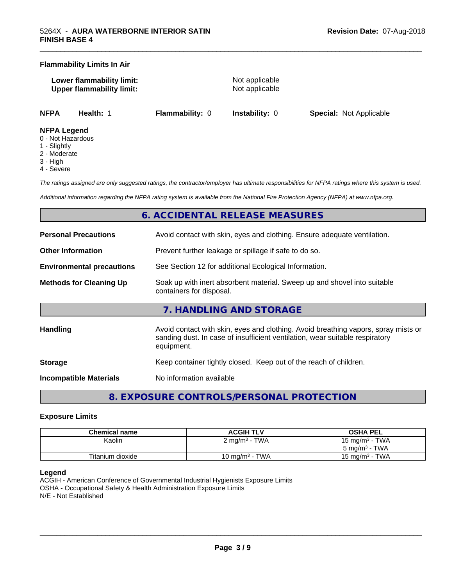#### **Flammability Limits In Air**

**Lower flammability limit:** Not applicable **Upper flammability limit:** Not applicable

\_\_\_\_\_\_\_\_\_\_\_\_\_\_\_\_\_\_\_\_\_\_\_\_\_\_\_\_\_\_\_\_\_\_\_\_\_\_\_\_\_\_\_\_\_\_\_\_\_\_\_\_\_\_\_\_\_\_\_\_\_\_\_\_\_\_\_\_\_\_\_\_\_\_\_\_\_\_\_\_\_\_\_\_\_\_\_\_\_\_\_\_\_

**NFPA Health:** 1 **Flammability:** 0 **Instability:** 0 **Special:** Not Applicable

#### **NFPA Legend**

- 0 Not Hazardous
- 1 Slightly
- 2 Moderate
- 3 High
- 4 Severe

*The ratings assigned are only suggested ratings, the contractor/employer has ultimate responsibilities for NFPA ratings where this system is used.*

*Additional information regarding the NFPA rating system is available from the National Fire Protection Agency (NFPA) at www.nfpa.org.*

# **6. ACCIDENTAL RELEASE MEASURES**

| <b>Personal Precautions</b>      | Avoid contact with skin, eyes and clothing. Ensure adequate ventilation.                                                                                                         |
|----------------------------------|----------------------------------------------------------------------------------------------------------------------------------------------------------------------------------|
| <b>Other Information</b>         | Prevent further leakage or spillage if safe to do so.                                                                                                                            |
| <b>Environmental precautions</b> | See Section 12 for additional Ecological Information.                                                                                                                            |
| <b>Methods for Cleaning Up</b>   | Soak up with inert absorbent material. Sweep up and shovel into suitable<br>containers for disposal.                                                                             |
|                                  | 7. HANDLING AND STORAGE                                                                                                                                                          |
| <b>Handling</b>                  | Avoid contact with skin, eyes and clothing. Avoid breathing vapors, spray mists or<br>sanding dust. In case of insufficient ventilation, wear suitable respiratory<br>equipment. |
| <b>Storage</b>                   | Keep container tightly closed. Keep out of the reach of children.                                                                                                                |
| Incompatible Materials           | No information available                                                                                                                                                         |

# **8. EXPOSURE CONTROLS/PERSONAL PROTECTION**

#### **Exposure Limits**

| Chemical name    | <b>ACGIH TLV</b>         | <b>OSHA PEL</b>   |
|------------------|--------------------------|-------------------|
| Kaolin           | $2 \text{ mg/m}^3$ - TWA | 15 mg/m $3$ - TWA |
|                  |                          | 5 mg/m $3$ - TWA  |
| Titanium dioxide | 10 mg/m $3$ - TWA        | 15 mg/m $3$ - TWA |

#### **Legend**

ACGIH - American Conference of Governmental Industrial Hygienists Exposure Limits OSHA - Occupational Safety & Health Administration Exposure Limits N/E - Not Established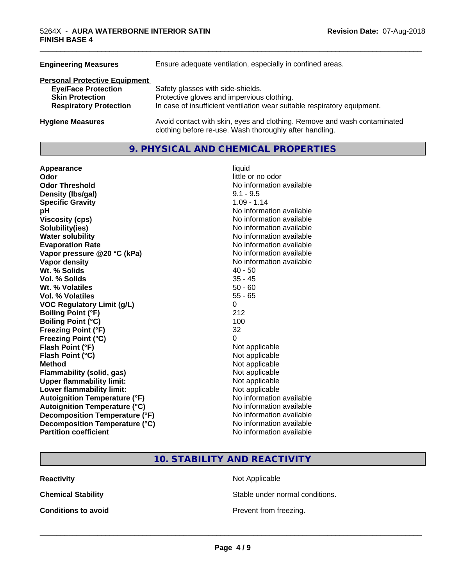| <b>Engineering Measures</b>                             | Ensure adequate ventilation, especially in confined areas.                                                                          |
|---------------------------------------------------------|-------------------------------------------------------------------------------------------------------------------------------------|
| <b>Personal Protective Equipment</b>                    |                                                                                                                                     |
| <b>Eye/Face Protection</b>                              | Safety glasses with side-shields.                                                                                                   |
| <b>Skin Protection</b><br><b>Respiratory Protection</b> | Protective gloves and impervious clothing.<br>In case of insufficient ventilation wear suitable respiratory equipment.              |
|                                                         |                                                                                                                                     |
| <b>Hygiene Measures</b>                                 | Avoid contact with skin, eyes and clothing. Remove and wash contaminated<br>clothing before re-use. Wash thoroughly after handling. |

# **9. PHYSICAL AND CHEMICAL PROPERTIES**

| Appearance                           | liquid                   |
|--------------------------------------|--------------------------|
| Odor                                 | little or no odor        |
| <b>Odor Threshold</b>                | No information available |
| Density (Ibs/gal)                    | $9.1 - 9.5$              |
| <b>Specific Gravity</b>              | $1.09 - 1.14$            |
| рH                                   | No information available |
| <b>Viscosity (cps)</b>               | No information available |
| Solubility(ies)                      | No information available |
| <b>Water solubility</b>              | No information available |
| <b>Evaporation Rate</b>              | No information available |
| Vapor pressure @20 °C (kPa)          | No information available |
| Vapor density                        | No information available |
| Wt. % Solids                         | $40 - 50$                |
| Vol. % Solids                        | $35 - 45$                |
| Wt. % Volatiles                      | $50 - 60$                |
| Vol. % Volatiles                     | $55 - 65$                |
| <b>VOC Regulatory Limit (g/L)</b>    | $\Omega$                 |
| <b>Boiling Point (°F)</b>            | 212                      |
| <b>Boiling Point (°C)</b>            | 100                      |
| <b>Freezing Point (°F)</b>           | 32                       |
| <b>Freezing Point (°C)</b>           | 0                        |
| Flash Point (°F)                     | Not applicable           |
| Flash Point (°C)                     | Not applicable           |
| <b>Method</b>                        | Not applicable           |
| <b>Flammability (solid, gas)</b>     | Not applicable           |
| <b>Upper flammability limit:</b>     | Not applicable           |
| Lower flammability limit:            | Not applicable           |
| <b>Autoignition Temperature (°F)</b> | No information available |
| <b>Autoignition Temperature (°C)</b> | No information available |
| Decomposition Temperature (°F)       | No information available |
| Decomposition Temperature (°C)       | No information available |
| <b>Partition coefficient</b>         | No information available |

\_\_\_\_\_\_\_\_\_\_\_\_\_\_\_\_\_\_\_\_\_\_\_\_\_\_\_\_\_\_\_\_\_\_\_\_\_\_\_\_\_\_\_\_\_\_\_\_\_\_\_\_\_\_\_\_\_\_\_\_\_\_\_\_\_\_\_\_\_\_\_\_\_\_\_\_\_\_\_\_\_\_\_\_\_\_\_\_\_\_\_\_\_

**10. STABILITY AND REACTIVITY**

**Reactivity** Not Applicable

**Chemical Stability Stable under normal conditions.** 

**Conditions to avoid Conditions to avoid Prevent from freezing.**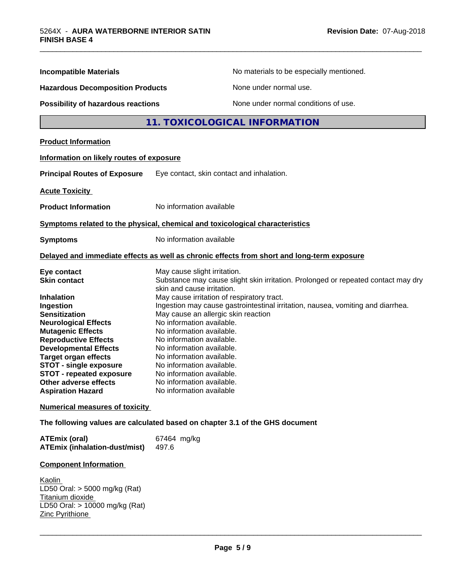| <b>Incompatible Materials</b>                                                                                                                                                                                   | No materials to be especially mentioned.                                                                                                                                                                                                                                                                              |
|-----------------------------------------------------------------------------------------------------------------------------------------------------------------------------------------------------------------|-----------------------------------------------------------------------------------------------------------------------------------------------------------------------------------------------------------------------------------------------------------------------------------------------------------------------|
| <b>Hazardous Decomposition Products</b>                                                                                                                                                                         | None under normal use.                                                                                                                                                                                                                                                                                                |
| Possibility of hazardous reactions                                                                                                                                                                              | None under normal conditions of use.                                                                                                                                                                                                                                                                                  |
|                                                                                                                                                                                                                 | 11. TOXICOLOGICAL INFORMATION                                                                                                                                                                                                                                                                                         |
| <b>Product Information</b>                                                                                                                                                                                      |                                                                                                                                                                                                                                                                                                                       |
| Information on likely routes of exposure                                                                                                                                                                        |                                                                                                                                                                                                                                                                                                                       |
| <b>Principal Routes of Exposure</b>                                                                                                                                                                             | Eye contact, skin contact and inhalation.                                                                                                                                                                                                                                                                             |
| <b>Acute Toxicity</b>                                                                                                                                                                                           |                                                                                                                                                                                                                                                                                                                       |
| <b>Product Information</b>                                                                                                                                                                                      | No information available                                                                                                                                                                                                                                                                                              |
|                                                                                                                                                                                                                 | Symptoms related to the physical, chemical and toxicological characteristics                                                                                                                                                                                                                                          |
| <b>Symptoms</b>                                                                                                                                                                                                 | No information available                                                                                                                                                                                                                                                                                              |
|                                                                                                                                                                                                                 | Delayed and immediate effects as well as chronic effects from short and long-term exposure                                                                                                                                                                                                                            |
| Eye contact<br><b>Skin contact</b>                                                                                                                                                                              | May cause slight irritation.<br>Substance may cause slight skin irritation. Prolonged or repeated contact may dry<br>skin and cause irritation.                                                                                                                                                                       |
| <b>Inhalation</b><br>Ingestion<br><b>Sensitization</b><br><b>Neurological Effects</b><br><b>Mutagenic Effects</b><br><b>Reproductive Effects</b><br><b>Developmental Effects</b><br><b>Target organ effects</b> | May cause irritation of respiratory tract.<br>Ingestion may cause gastrointestinal irritation, nausea, vomiting and diarrhea.<br>May cause an allergic skin reaction<br>No information available.<br>No information available.<br>No information available.<br>No information available.<br>No information available. |
| <b>STOT - single exposure</b><br>STOT - repeated exposure<br>Other adverse effects<br><b>Aspiration Hazard</b>                                                                                                  | No information available.<br>No information available.<br>No information available.<br>No information available                                                                                                                                                                                                       |
| <b>Numerical measures of toxicity</b>                                                                                                                                                                           |                                                                                                                                                                                                                                                                                                                       |
|                                                                                                                                                                                                                 | The following values are calculated based on chapter 3.1 of the GHS document                                                                                                                                                                                                                                          |
|                                                                                                                                                                                                                 |                                                                                                                                                                                                                                                                                                                       |

\_\_\_\_\_\_\_\_\_\_\_\_\_\_\_\_\_\_\_\_\_\_\_\_\_\_\_\_\_\_\_\_\_\_\_\_\_\_\_\_\_\_\_\_\_\_\_\_\_\_\_\_\_\_\_\_\_\_\_\_\_\_\_\_\_\_\_\_\_\_\_\_\_\_\_\_\_\_\_\_\_\_\_\_\_\_\_\_\_\_\_\_\_

| <b>ATEmix (oral)</b>                 | 67464 mg/kg |
|--------------------------------------|-------------|
| <b>ATEmix (inhalation-dust/mist)</b> | - 497.6     |

## **Component Information**

Kaolin LD50 Oral: > 5000 mg/kg (Rat) Titanium dioxide LD50 Oral: > 10000 mg/kg (Rat) Zinc Pyrithione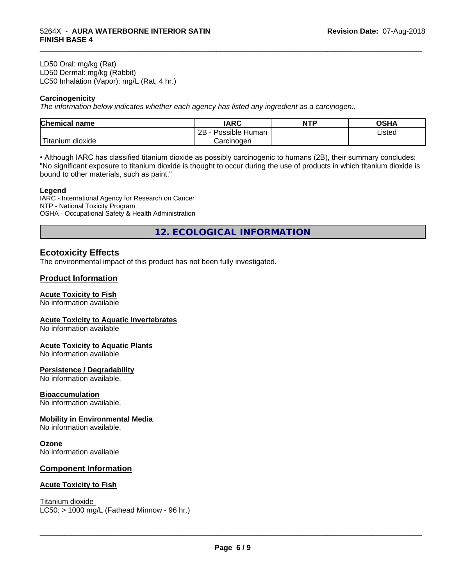LD50 Oral: mg/kg (Rat) LD50 Dermal: mg/kg (Rabbit) LC50 Inhalation (Vapor): mg/L (Rat, 4 hr.)

#### **Carcinogenicity**

*The information below indicateswhether each agency has listed any ingredient as a carcinogen:.*

| <b>Chemical</b><br>name  | <b>IARC</b>                    | <b>NTP</b> | ດເ⊔∧<br>UJNA |
|--------------------------|--------------------------------|------------|--------------|
|                          | . .<br>2B<br>Human<br>Possible |            | Listed       |
| $-1$<br>Fitanium dioxide | Carcinoɑen                     |            |              |

\_\_\_\_\_\_\_\_\_\_\_\_\_\_\_\_\_\_\_\_\_\_\_\_\_\_\_\_\_\_\_\_\_\_\_\_\_\_\_\_\_\_\_\_\_\_\_\_\_\_\_\_\_\_\_\_\_\_\_\_\_\_\_\_\_\_\_\_\_\_\_\_\_\_\_\_\_\_\_\_\_\_\_\_\_\_\_\_\_\_\_\_\_

• Although IARC has classified titanium dioxide as possibly carcinogenic to humans (2B), their summary concludes: "No significant exposure to titanium dioxide is thought to occur during the use of products in which titanium dioxide is bound to other materials, such as paint."

#### **Legend**

IARC - International Agency for Research on Cancer NTP - National Toxicity Program OSHA - Occupational Safety & Health Administration

**12. ECOLOGICAL INFORMATION**

## **Ecotoxicity Effects**

The environmental impact of this product has not been fully investigated.

#### **Product Information**

#### **Acute Toxicity to Fish**

No information available

#### **Acute Toxicity to Aquatic Invertebrates**

No information available

#### **Acute Toxicity to Aquatic Plants**

No information available

#### **Persistence / Degradability**

No information available.

#### **Bioaccumulation**

No information available.

#### **Mobility in Environmental Media**

No information available.

#### **Ozone**

No information available

#### **Component Information**

#### **Acute Toxicity to Fish**

Titanium dioxide  $LC50:$  > 1000 mg/L (Fathead Minnow - 96 hr.)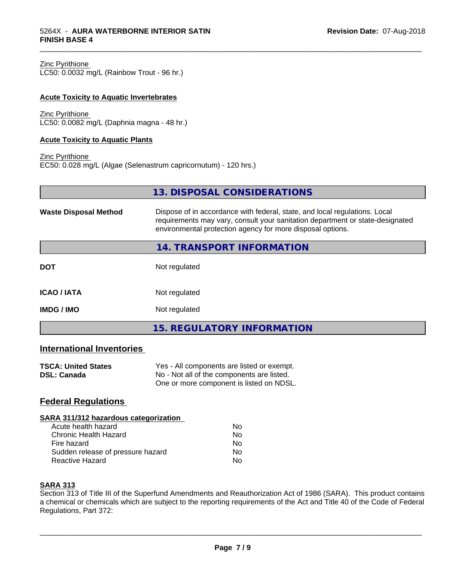| Zinc Pyrithione |
|-----------------|
|-----------------|

LC50: 0.0032 mg/L (Rainbow Trout - 96 hr.)

#### **Acute Toxicity to Aquatic Invertebrates**

Zinc Pyrithione LC50: 0.0082 mg/L (Daphnia magna - 48 hr.)

#### **Acute Toxicity to Aquatic Plants**

```
Zinc Pyrithione
EC50: 0.028 mg/L (Algae (Selenastrum capricornutum) - 120 hrs.)
```

|                              | 13. DISPOSAL CONSIDERATIONS                                                                                                                                                                                               |
|------------------------------|---------------------------------------------------------------------------------------------------------------------------------------------------------------------------------------------------------------------------|
| <b>Waste Disposal Method</b> | Dispose of in accordance with federal, state, and local regulations. Local<br>requirements may vary, consult your sanitation department or state-designated<br>environmental protection agency for more disposal options. |
|                              | 14. TRANSPORT INFORMATION                                                                                                                                                                                                 |
| <b>DOT</b>                   | Not regulated                                                                                                                                                                                                             |
| <b>ICAO/IATA</b>             | Not regulated                                                                                                                                                                                                             |
| <b>IMDG / IMO</b>            | Not regulated                                                                                                                                                                                                             |
|                              | <b>15. REGULATORY INFORMATION</b>                                                                                                                                                                                         |

\_\_\_\_\_\_\_\_\_\_\_\_\_\_\_\_\_\_\_\_\_\_\_\_\_\_\_\_\_\_\_\_\_\_\_\_\_\_\_\_\_\_\_\_\_\_\_\_\_\_\_\_\_\_\_\_\_\_\_\_\_\_\_\_\_\_\_\_\_\_\_\_\_\_\_\_\_\_\_\_\_\_\_\_\_\_\_\_\_\_\_\_\_

# **International Inventories**

| <b>TSCA: United States</b> | Yes - All components are listed or exempt. |
|----------------------------|--------------------------------------------|
| <b>DSL: Canada</b>         | No - Not all of the components are listed. |
|                            | One or more component is listed on NDSL.   |

#### **Federal Regulations**

#### **SARA 311/312 hazardous categorization**

| Acute health hazard               | Nο |  |
|-----------------------------------|----|--|
| Chronic Health Hazard             | Nο |  |
| Fire hazard                       | Nο |  |
| Sudden release of pressure hazard | N٥ |  |
| Reactive Hazard                   | N٥ |  |

#### **SARA 313**

Section 313 of Title III of the Superfund Amendments and Reauthorization Act of 1986 (SARA). This product contains a chemical or chemicals which are subject to the reporting requirements of the Act and Title 40 of the Code of Federal Regulations, Part 372: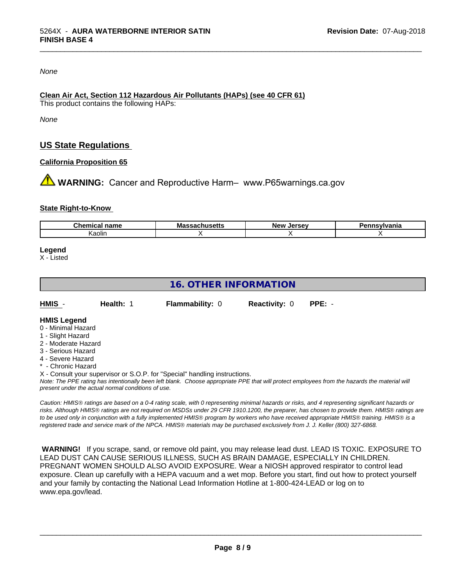*None*

#### **Clean Air Act,Section 112 Hazardous Air Pollutants (HAPs) (see 40 CFR 61)**

This product contains the following HAPs:

*None*

# **US State Regulations**

#### **California Proposition 65**

**AN** WARNING: Cancer and Reproductive Harm– www.P65warnings.ca.gov

#### **State Right-to-Know**

| $- - - - -$<br>⊡idilit | м.<br>шс | ------<br>NF<br> | . <b>.</b><br>nıa |  |
|------------------------|----------|------------------|-------------------|--|
| Kaolir                 |          |                  |                   |  |

\_\_\_\_\_\_\_\_\_\_\_\_\_\_\_\_\_\_\_\_\_\_\_\_\_\_\_\_\_\_\_\_\_\_\_\_\_\_\_\_\_\_\_\_\_\_\_\_\_\_\_\_\_\_\_\_\_\_\_\_\_\_\_\_\_\_\_\_\_\_\_\_\_\_\_\_\_\_\_\_\_\_\_\_\_\_\_\_\_\_\_\_\_

#### **Legend**

X - Listed

# **16. OTHER INFORMATION**

| HMIS | <b>Health: 1</b> | <b>Flammability: 0</b> | <b>Reactivity: 0</b> | PPE: - |
|------|------------------|------------------------|----------------------|--------|
|      |                  |                        |                      |        |

#### **HMIS Legend**

- 0 Minimal Hazard
- 1 Slight Hazard
- 2 Moderate Hazard
- 3 Serious Hazard
- 4 Severe Hazard
- Chronic Hazard
- X Consult your supervisor or S.O.P. for "Special" handling instructions.

*Note: The PPE rating has intentionally been left blank. Choose appropriate PPE that will protect employees from the hazards the material will present under the actual normal conditions of use.*

*Caution: HMISÒ ratings are based on a 0-4 rating scale, with 0 representing minimal hazards or risks, and 4 representing significant hazards or risks. Although HMISÒ ratings are not required on MSDSs under 29 CFR 1910.1200, the preparer, has chosen to provide them. HMISÒ ratings are to be used only in conjunction with a fully implemented HMISÒ program by workers who have received appropriate HMISÒ training. HMISÒ is a registered trade and service mark of the NPCA. HMISÒ materials may be purchased exclusively from J. J. Keller (800) 327-6868.*

 **WARNING!** If you scrape, sand, or remove old paint, you may release lead dust. LEAD IS TOXIC. EXPOSURE TO LEAD DUST CAN CAUSE SERIOUS ILLNESS, SUCH AS BRAIN DAMAGE, ESPECIALLY IN CHILDREN. PREGNANT WOMEN SHOULD ALSO AVOID EXPOSURE.Wear a NIOSH approved respirator to control lead exposure. Clean up carefully with a HEPA vacuum and a wet mop. Before you start, find out how to protect yourself and your family by contacting the National Lead Information Hotline at 1-800-424-LEAD or log on to www.epa.gov/lead.